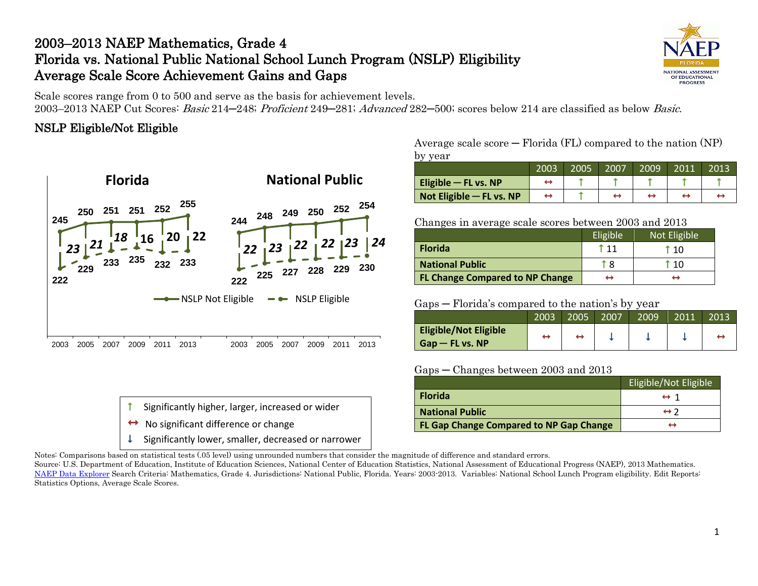# 2003–2013 NAEP Mathematics, Grade 4 Florida vs. National Public National School Lunch Program (NSLP) Eligibility Average Scale Score Achievement Gains and Gaps

NATIONAL ASSESSMENT OF EDUCATIONAL **PROGRESS** 

Scale scores range from 0 to 500 and serve as the basis for achievement levels.

2003–2013 NAEP Cut Scores: Basic 214─248; Proficient 249─281; Advanced 282─500; scores below 214 are classified as below Basic.

### NSLP Eligible/Not Eligible



| $\uparrow$ Significantly higher, larger, increased or wider      |
|------------------------------------------------------------------|
| $\leftrightarrow$ No significant difference or change            |
| $\downarrow$ Significantly lower, smaller, decreased or narrower |

Average scale score  $-$  Florida (FL) compared to the nation (NP) by year

|                          | 2003 | 2005 | 2007 | 2009 | 2011' | 2013 |
|--------------------------|------|------|------|------|-------|------|
| Eligible $-$ FL vs. NP   |      |      |      |      |       |      |
| Not Eligible - FL vs. NP |      |      |      |      |       |      |

#### Changes in average scale scores between 2003 and 2013

|                                        | Eligible | Not Eligible  |
|----------------------------------------|----------|---------------|
| <b>Florida</b>                         | t 11     | i 10          |
| <b>National Public</b>                 | 1 8      | $^{\circ}$ 10 |
| <b>FL Change Compared to NP Change</b> | ↔        |               |

### Gaps — Florida's compared to the nation's by year

|                                                   | 2003 | 2005 | 2007 | 2009 | 2011 | 2013 |
|---------------------------------------------------|------|------|------|------|------|------|
| <b>Eligible/Not Eligible</b><br>$Gap$ – FL vs. NP |      |      |      |      |      |      |

### Gaps ─ Changes between 2003 and 2013

|                                         | Eligible/Not Eligible |
|-----------------------------------------|-----------------------|
| <b>Florida</b>                          | $\leftrightarrow$ 1   |
| <b>National Public</b>                  | $\leftrightarrow$ 2   |
| FL Gap Change Compared to NP Gap Change | ↤                     |

Notes: Comparisons based on statistical tests (.05 level) using unrounded numbers that consider the magnitude of difference and standard errors.

Source: U.S. Department of Education, Institute of Education Sciences, National Center of Education Statistics, National Assessment of Educational Progress (NAEP), 2013 Mathematics. [NAEP Data Explorer](http://nces.ed.gov/nationsreportcard/naepdata/) Search Criteria: Mathematics, Grade 4. Jurisdictions: National Public, Florida. Years: 2003-2013. Variables: National School Lunch Program eligibility. Edit Reports: Statistics Options, Average Scale Scores.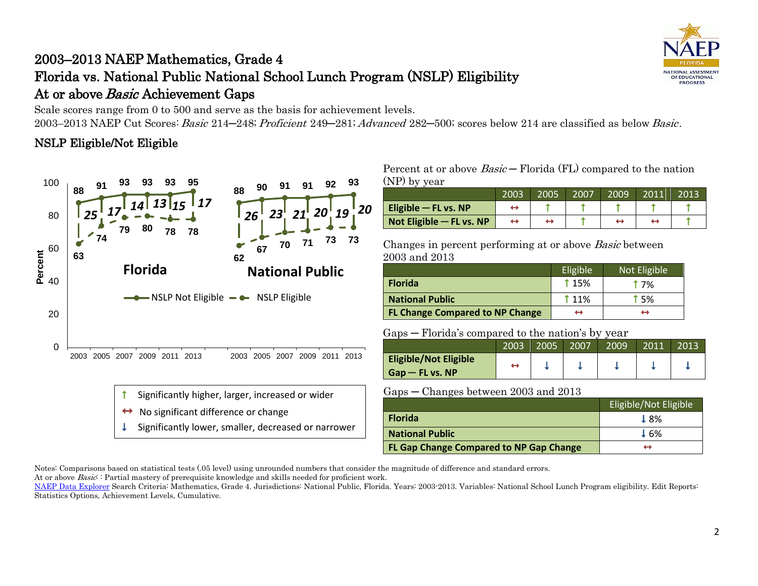# 2003–2013 NAEP Mathematics, Grade 4 Florida vs. National Public National School Lunch Program (NSLP) Eligibility At or above *Basic* Achievement Gaps

Scale scores range from 0 to 500 and serve as the basis for achievement levels. 2003–2013 NAEP Cut Scores: Basic 214–248; Proficient 249–281; Advanced 282–500; scores below 214 are classified as below Basic.

## NSLP Eligible/Not Eligible



Significantly lower, smaller, decreased or narrower

### Percent at or above  $Basic-$  Florida (FL) compared to the nation (NP) by year

|                          | 2003 | 2005 | 2007 | 2009 | 2011 | 2013 |
|--------------------------|------|------|------|------|------|------|
| Eligible $-$ FL vs. NP   |      |      |      |      |      |      |
| Not Eligible - FL vs. NP |      |      |      |      |      |      |

Changes in percent performing at or above Basic between 2003 and 2013

|                                        | Eligible <sup>'</sup> | Not Eligible |
|----------------------------------------|-----------------------|--------------|
| <b>Florida</b>                         | <b>115%</b>           | † 7%         |
| <b>National Public</b>                 | <b>11%</b>            | † 5%         |
| <b>FL Change Compared to NP Change</b> | ↔                     |              |

### Gaps ─ Florida's compared to the nation's by year

| $\sim$                       |      |      |      |      |       |      |  |  |
|------------------------------|------|------|------|------|-------|------|--|--|
|                              | 2003 | 2005 | 2007 | 2009 | 2011' | 2013 |  |  |
| <b>Eligible/Not Eligible</b> |      |      |      |      |       |      |  |  |
| $Gap - FL vs. NP$            |      |      |      |      |       |      |  |  |

#### Gaps ─ Changes between 2003 and 2013

|                                                | Eligible/Not Eligible |
|------------------------------------------------|-----------------------|
| <b>Florida</b>                                 | 18%                   |
| <b>National Public</b>                         | ↓6%                   |
| <b>FL Gap Change Compared to NP Gap Change</b> |                       |

Notes: Comparisons based on statistical tests (.05 level) using unrounded numbers that consider the magnitude of difference and standard errors.

At or above *Basic*: Partial mastery of prerequisite knowledge and skills needed for proficient work.



[NAEP Data Explorer](http://nces.ed.gov/nationsreportcard/naepdata/) Search Criteria: Mathematics, Grade 4. Jurisdictions: National Public, Florida. Years: 2003-2013. Variables: National School Lunch Program eligibility. Edit Reports: Statistics Options, Achievement Levels, Cumulative.